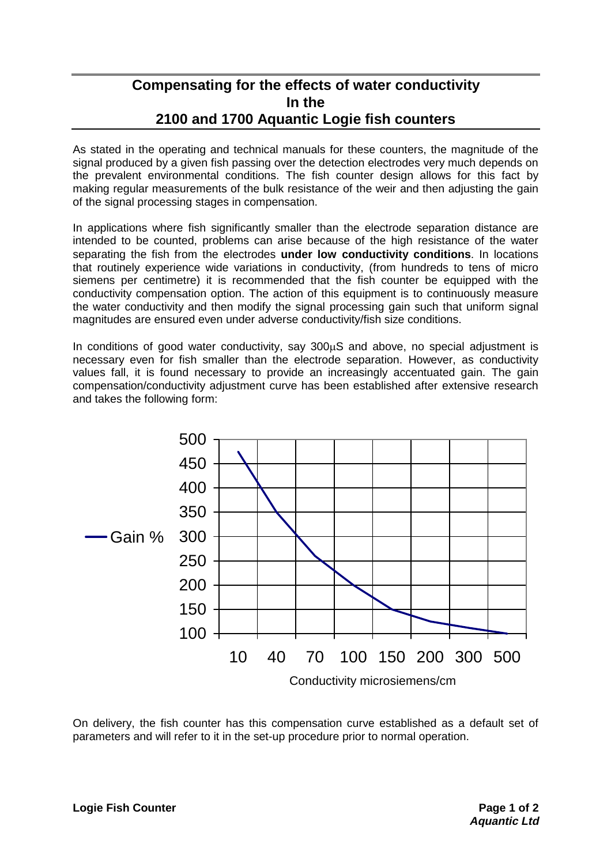# **Compensating for the effects of water conductivity In the 2100 and 1700 Aquantic Logie fish counters**

As stated in the operating and technical manuals for these counters, the magnitude of the signal produced by a given fish passing over the detection electrodes very much depends on the prevalent environmental conditions. The fish counter design allows for this fact by making regular measurements of the bulk resistance of the weir and then adjusting the gain of the signal processing stages in compensation.

In applications where fish significantly smaller than the electrode separation distance are intended to be counted, problems can arise because of the high resistance of the water separating the fish from the electrodes **under low conductivity conditions**. In locations that routinely experience wide variations in conductivity, (from hundreds to tens of micro siemens per centimetre) it is recommended that the fish counter be equipped with the conductivity compensation option. The action of this equipment is to continuously measure the water conductivity and then modify the signal processing gain such that uniform signal magnitudes are ensured even under adverse conductivity/fish size conditions.

In conditions of good water conductivity, say  $300\mu$ S and above, no special adjustment is necessary even for fish smaller than the electrode separation. However, as conductivity values fall, it is found necessary to provide an increasingly accentuated gain. The gain compensation/conductivity adjustment curve has been established after extensive research and takes the following form:



On delivery, the fish counter has this compensation curve established as a default set of parameters and will refer to it in the set-up procedure prior to normal operation.